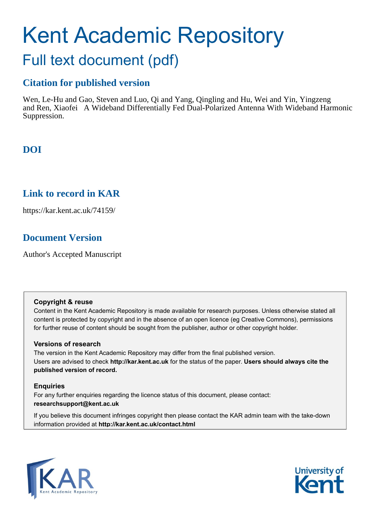# Kent Academic Repository

## Full text document (pdf)

## **Citation for published version**

Wen, Le-Hu and Gao, Steven and Luo, Qi and Yang, Qingling and Hu, Wei and Yin, Yingzeng and Ren, Xiaofei A Wideband Differentially Fed Dual-Polarized Antenna With Wideband Harmonic Suppression.

## **DOI**

## **Link to record in KAR**

https://kar.kent.ac.uk/74159/

## **Document Version**

Author's Accepted Manuscript

## **Copyright & reuse**

Content in the Kent Academic Repository is made available for research purposes. Unless otherwise stated all content is protected by copyright and in the absence of an open licence (eg Creative Commons), permissions for further reuse of content should be sought from the publisher, author or other copyright holder.

## **Versions of research**

The version in the Kent Academic Repository may differ from the final published version. Users are advised to check **http://kar.kent.ac.uk** for the status of the paper. **Users should always cite the published version of record.**

## **Enquiries**

For any further enquiries regarding the licence status of this document, please contact: **researchsupport@kent.ac.uk**

If you believe this document infringes copyright then please contact the KAR admin team with the take-down information provided at **http://kar.kent.ac.uk/contact.html**



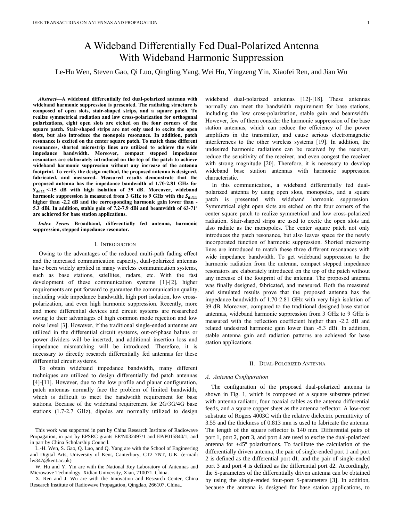## A Wideband Differentially Fed Dual-Polarized Antenna With Wideband Harmonic Suppression

Le-Hu Wen, Steven Gao, Qi Luo*,* Qingling Yang, Wei Hu, Yingzeng Yin, Xiaofei Ren, and Jian Wu

*Abstract***—A wideband differentially fed dual-polarized antenna with wideband harmonic suppression is presented. The radiating structure is composed of open slots, stair-shaped strips, and a square patch. To realize symmetrical radiation and low cross-polarization for orthogonal polarizations, eight open slots are etched on the four corners of the square patch. Stair-shaped strips are not only used to excite the open slots, but also introduce the monopole resonance. In addition, patch resonance is excited on the center square patch. To match these different resonances, shorted microstrip lines are utilized to achieve the wide impedance bandwidth. Moreover, compact stepped impedance resonators are elaborately introduced on the top of the patch to achieve wideband harmonic suppression without any increase of the antenna footprint. To verify the design method, the proposed antenna is designed, fabricated, and measured. Measured results demonstrate that the proposed antenna has the impedance bandwidth of 1.70-2.81 GHz for <-15 dB with high isolation of 39 dB. Moreover, wideband harmonic suppression is measured from 3 GHz to 9 GHz with the higher than -2.2 dB and the corresponding harmonic gain lower than - 5.3 dBi. In addition, stable gain of 7.2-7.9 dBi and beamwidth of 63-71º are achieved for base station applications.**

*Index Terms***—Broadband, differentially fed antenna, harmonic suppression, stepped impedance resonator.**

#### I. INTRODUCTION

Owing to the advantages of the reduced multi-path fading effect and the increased communication capacity, dual-polarized antennas have been widely applied in many wireless communication systems, such as base stations, satellites, radars, etc. With the fast development of these communication systems [1]-[2], higher requirements are put forward to guarantee the communication quality, including wide impedance bandwidth, high port isolation, low crosspolarization, and even high harmonic suppression. Recently, more and more differential devices and circuit systems are researched owing to their advantages of high common mode rejection and low noise level [3]. However, if the traditional single-ended antennas are utilized in the differential circuit systems, out-of-phase baluns or power dividers will be inserted, and additional insertion loss and impedance mismatching will be introduced. Therefore, it is necessary to directly research differentially fed antennas for these differential circuit systems.

To obtain wideband impedance bandwidth, many different techniques are utilized to design differentially fed patch antennas [4]-[11]. However, due to the low profile and planar configuration, patch antennas normally face the problem of limited bandwidth, which is difficult to meet the bandwidth requirement for base stations. Because of the wideband requirement for 2G/3G/4G base stations (1.7-2.7 GHz), dipoles are normally utilized to design

This work was supported in part by China Research Institute of Radiowave Propagation, in part by EPSRC grants EP/N032497/1 and EP/P015840/1, and in part by China Scholarship Council.

L.-H. Wen, S. Gao, Q. Luo, and Q. Yang are with the School of Engineering and Digital Arts, University of Kent, Canterbury, CT2 7NT, U.K. (e-mail: lw347@kent.ac.uk)

W. Hu and Y. Yin are with the National Key Laboratory of Antennas and Microwave Technology, Xidian University, Xian, 710071, China.

X. Ren and J. Wu are with the Innovation and Research Center, China Research Institute of Radiowave Propagation, Qingdao, 266107, China..

wideband dual-polarized antennas [12]-[18]. These antennas normally can meet the bandwidth requirement for base stations, including the low cross-polarization, stable gain and beamwidth. However, few of them consider the harmonic suppression of the base station antennas, which can reduce the efficiency of the power amplifiers in the transmitter, and cause serious electromagnetic interferences to the other wireless systems [19]. In addition, the undesired harmonic radiations can be received by the receiver, reduce the sensitivity of the receiver, and even congest the receiver with strong magnitude [20]. Therefore, it is necessary to develop wideband base station antennas with harmonic suppression characteristic.

In this communication, a wideband differentially fed dualpolarized antenna by using open slots, monopoles, and a square patch is presented with wideband harmonic suppression. Symmetrical eight open slots are etched on the four corners of the center square patch to realize symmetrical and low cross-polarized radiation. Stair-shaped strips are used to excite the open slots and also radiate as the monopoles. The center square patch not only introduces the patch resonance, but also leaves space for the newly incorporated function of harmonic suppression. Shorted microstrip lines are introduced to match these three different resonances with wide impedance bandwidth. To get wideband suppression to the harmonic radiation from the antenna, compact stepped impedance resonators are elaborately introduced on the top of the patch without any increase of the footprint of the antenna. The proposed antenna was finally designed, fabricated, and measured. Both the measured and simulated results prove that the proposed antenna has the impedance bandwidth of 1.70-2.81 GHz with very high isolation of 39 dB. Moreover, compared to the traditional designed base station antennas, wideband harmonic suppression from 3 GHz to 9 GHz is measured with the reflection coefficient higher than -2.2 dB and related undesired harmonic gain lower than -5.3 dBi. In addition, stable antenna gain and radiation patterns are achieved for base station applications.

#### II. DUAL-POLORIZED ANTENNA

#### *A. Antenna Configuration*

The configuration of the proposed dual-polarized antenna is shown in Fig. 1, which is composed of a square substrate printed with antenna radiator, four coaxial cables as the antenna differential feeds, and a square copper sheet as the antenna reflector. A low-cost substrate of Rogers 4003C with the relative dielectric permittivity of 3.55 and the thickness of 0.813 mm is used to fabricate the antenna. The length of the square reflector is 140 mm. Differential pairs of port 1, port 2, port 3, and port 4 are used to excite the dual-polarized antenna for  $\pm 45^\circ$  polarizations. To facilitate the calculation of the differentially driven antenna, the pair of single-ended port 1 and port 2 is defined as the differential port d1, and the pair of single-ended port 3 and port 4 is defined as the differential port d2. Accordingly, the S-parameters of the differentially driven antenna can be obtained by using the single-ended four-port S-parameters [3]. In addition, because the antenna is designed for base station applications, to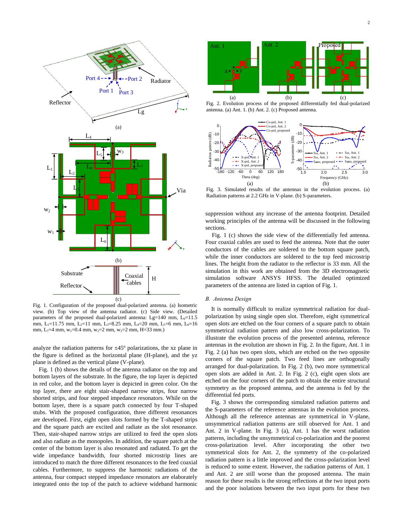

Fig. 1. Configuration of the proposed dual-polarized antenna. (a) Isometric view. (b) Top view of the antenna radiator. (c) Side view. (Detailed parameters of the proposed dual-polarized antenna: Lg=140 mm, L<sub>0</sub>=11.5 mm, L<sub>1</sub>=11.75 mm, L<sub>2</sub>=11 mm, L<sub>3</sub>=8.25 mm, L<sub>4</sub>=20 mm, L<sub>5</sub>=6 mm, L<sub>6</sub>=16 mm, L<sub>7</sub>=4 mm, w<sub>1</sub>=0.4 mm, w<sub>2</sub>=2 mm, w<sub>3</sub>=2 mm, H=33 mm.)

analyze the radiation patterns for  $\pm 45^{\circ}$  polarizations, the xz plane in the figure is defined as the horizontal plane (H-plane), and the yz plane is defined as the vertical plane (V-plane).

Fig. 1 (b) shows the details of the antenna radiator on the top and bottom layers of the substrate. In the figure, the top layer is depicted in red color, and the bottom layer is depicted in green color. On the top layer, there are eight stair-shaped narrow strips, four narrow shorted strips, and four stepped impedance resonators. While on the bottom layer, there is a square patch connected by four T-shaped stubs. With the proposed configuration, three different resonances are developed. First, eight open slots formed by the T-shaped strips and the square patch are excited and radiate as the slot resonance. Then, stair-shaped narrow strips are utilized to feed the open slots and also radiate as the monopoles. In addition, the square patch at the center of the bottom layer is also resonated and radiated. To get the wide impedance bandwidth, four shorted microstrip lines are introduced to match the three different resonances to the feed coaxial cables. Furthermore, to suppress the harmonic radiations of the antenna, four compact stepped impedance resonators are elaborately integrated onto the top of the patch to achieve wideband harmonic 2



Fig. 2. Evolution process of the proposed differentially fed dual-polarized antenna. (a) Ant. 1. (b) Ant. 2. (c) Proposed antenna.



Fig. 3. Simulated results of the antennas in the evolution process. (a) Radiation patterns at 2.2 GHz in V-plane. (b) S-parameters.

suppression without any increase of the antenna footprint. Detailed working principles of the antenna will be discussed in the following sections.

Fig. 1 (c) shows the side view of the differentially fed antenna. Four coaxial cables are used to feed the antenna. Note that the outer conductors of the cables are soldered to the bottom square patch, while the inner conductors are soldered to the top feed microstrip lines. The height from the radiator to the reflector is 33 mm. All the simulation in this work are obtained from the 3D electromagnetic simulation software ANSYS HFSS. The detailed optimized parameters of the antenna are listed in caption of Fig. 1.

#### *B. Antenna Design*

It is normally difficult to realize symmetrical radiation for dualpolarization by using single open slot. Therefore, eight symmetrical open slots are etched on the four corners of a square patch to obtain symmetrical radiation pattern and also low cross-polarization. To illustrate the evolution process of the presented antenna, reference antennas in the evolution are shown in Fig. 2. In the figure, Ant. 1 in Fig. 2 (a) has two open slots, which are etched on the two opposite corners of the square patch. Two feed lines are orthogonally arranged for dual-polarization. In Fig. 2 (b), two more symmetrical open slots are added in Ant. 2. In Fig. 2 (c), eight open slots are etched on the four corners of the patch to obtain the entire structural symmetry as the proposed antenna, and the antenna is fed by the differential fed ports.

Fig. 3 shows the corresponding simulated radiation patterns and the S-parameters of the reference antennas in the evolution process. Although all the reference antennas are symmetrical in V-plane, unsymmetrical radiation patterns are still observed for Ant. 1 and Ant. 2 in V-plane. In Fig. 3 (a), Ant. 1 has the worst radiation patterns, including the unsymmetrical co-polarization and the poorest cross-polarization level. After incorporating the other two symmetrical slots for Ant. 2, the symmetry of the co-polarized radiation pattern is a little improved and the cross-polarization level is reduced to some extent. However, the radiation patterns of Ant. 1 and Ant. 2 are still worse than the proposed antenna. The main reason for these results is the strong reflections at the two input ports and the poor isolations between the two input ports for these two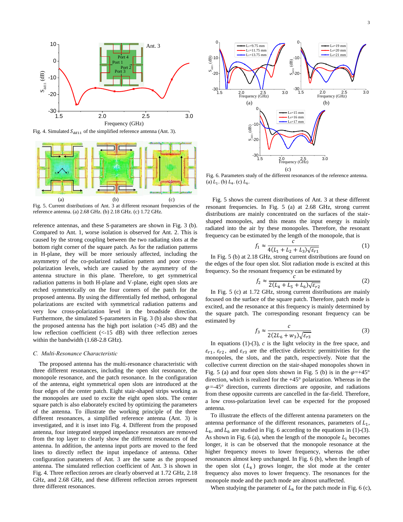

Fig. 4. Simulated  $S_{dd11}$  of the simplified reference antenna (Ant. 3).



Fig. 5. Current distributions of Ant. 3 at different resonant frequencies of the reference antenna. (a) 2.68 GHz. (b) 2.18 GHz. (c) 1.72 GHz.

reference antennas, and these S-parameters are shown in Fig. 3 (b). Compared to Ant. 1, worse isolation is observed for Ant. 2. This is caused by the strong coupling between the two radiating slots at the bottom right corner of the square patch. As for the radiation patterns in H-plane, they will be more seriously affected, including the asymmetry of the co-polarized radiation pattern and poor crosspolarization levels, which are caused by the asymmetry of the antenna structure in this plane. Therefore, to get symmetrical radiation patterns in both H-plane and V-plane, eight open slots are etched symmetrically on the four corners of the patch for the proposed antenna. By using the differentially fed method, orthogonal polarizations are excited with symmetrical radiation patterns and very low cross-polarization level in the broadside direction. Furthermore, the simulated S-parameters in Fig. 3 (b) also show that the proposed antenna has the high port isolation (>45 dB) and the low reflection coefficient (<-15 dB) with three reflection zeroes within the bandwidth (1.68-2.8 GHz).

#### *C. Multi-Resonance Characteristic*

The proposed antenna has the multi-resonance characteristic with three different resonances, including the open slot resonance, the monopole resonance, and the patch resonance. In the configuration of the antenna, eight symmetrical open slots are introduced at the four edges of the center patch. Eight stair-shaped strips working as the monopoles are used to excite the eight open slots. The center square patch is also elaborately excited by optimizing the parameters of the antenna. To illustrate the working principle of the three different resonances, a simplified reference antenna (Ant. 3) is investigated, and it is inset into Fig. 4. Different from the proposed antenna, four integrated stepped impedance resonators are removed from the top layer to clearly show the different resonances of the antenna. In addition, the antenna input ports are moved to the feed lines to directly reflect the input impedance of antenna. Other configuration parameters of Ant. 3 are the same as the proposed antenna. The simulated reflection coefficient of Ant. 3 is shown in Fig. 4. Three reflection zeroes are clearly observed at 1.72 GHz, 2.18 GHz, and 2.68 GHz, and these different reflection zeroes represent three different resonances.



Fig. 6. Parameters study of the different resonances of the reference antenna. (a)  $L_1$ . (b)  $L_4$ . (c)  $L_6$ .

Fig. 5 shows the current distributions of Ant. 3 at these different resonant frequencies. In Fig. 5 (a) at 2.68 GHz, strong current distributions are mainly concentrated on the surfaces of the stairshaped monopoles, and this means the input energy is mainly radiated into the air by these monopoles. Therefore, the resonant frequency can be estimated by the length of the monopole, that is

$$
f_1 \approx \frac{c}{4(L_1 + L_2 + L_3)\sqrt{\varepsilon_{r1}}} \tag{1}
$$

In Fig. 5 (b) at 2.18 GHz, strong current distributions are found on the edges of the four open slot. Slot radiation mode is excited at this frequency. So the resonant frequency can be estimated by

$$
f_2 \approx \frac{c}{2(L_4 + L_5 + L_6)\sqrt{\varepsilon_{r2}}} \tag{2}
$$

In Fig. 5 (c) at 1.72 GHz, strong current distributions are mainly focused on the surface of the square patch. Therefore, patch mode is excited, and the resonance at this frequency is mainly determined by the square patch. The corresponding resonant frequency can be estimated by

$$
f_3 \approx \frac{c}{2(2L_6 + w_3)\sqrt{\varepsilon_{r3}}} \tag{3}
$$

In equations  $(1)-(3)$ , *c* is the light velocity in the free space, and  $\varepsilon_{r1}$ ,  $\varepsilon_{r2}$ , and  $\varepsilon_{r3}$  are the effective dielectric permittivities for the monopoles, the slots, and the patch, respectively. Note that the collective current direction on the stair-shaped monopoles shown in Fig. 5 (a) and four open slots shown in Fig. 5 (b) is in the  $\varphi=+45^{\circ}$ direction, which is realized for the +45° polarization. Whereas in the  $\varphi$ =-45° direction, currents directions are opposite, and radiations from these opposite currents are cancelled in the far-field. Therefore, a low cross-polarization level can be expected for the proposed antenna.

To illustrate the effects of the different antenna parameters on the antenna performance of the different resonances, parameters of  $L_1$ ,  $L_4$ , and  $L_6$  are studied in Fig. 6 according to the equations in (1)-(3). As shown in Fig. 6 (a), when the length of the monopole  $L_1$  becomes longer, it is can be observed that the monopole resonance at the higher frequency moves to lower frequency, whereas the other resonances almost keep unchanged. In Fig. 6 (b), when the length of the open slot  $(L_4)$  grows longer, the slot mode at the center frequency also moves to lower frequency. The resonances for the monopole mode and the patch mode are almost unaffected.

When studying the parameter of  $L_6$  for the patch mode in Fig. 6 (c),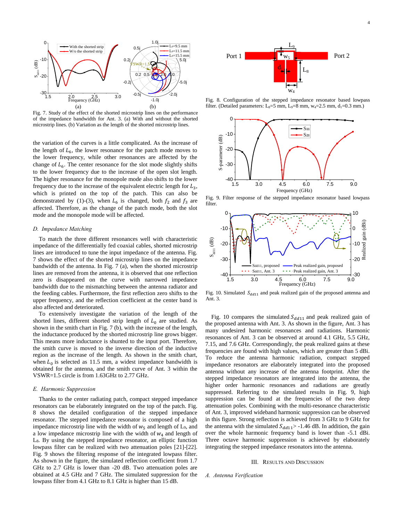

Fig. 7. Study of the effect of the shorted microstrip lines on the performance of the impedance bandwidth for Ant. 3. (a) With and without the shorted microstrip lines. (b) Variation as the length of the shorted microstrip lines. 1.5 2.0 2.5 3.0

the variation of the curves is a little complicated. As the increase of the length of  $L_6$ , the lower resonance for the patch mode moves to the lower frequency, while other resonances are affected by the change of  $L<sub>6</sub>$ . The center resonance for the slot mode slightly shifts to the lower frequency due to the increase of the open slot length. The higher resonance for the monopole mode also shifts to the lower frequency due to the increase of the equivalent electric length for  $L_3$ , which is printed on the top of the patch. This can also be demonstrated by (1)-(3), when  $L_6$  is changed, both  $f_2$  and  $f_3$  are affected. Therefore, as the change of the patch mode, both the slot mode and the monopole mode will be affected.

#### *D. Impedance Matching*

To match the three different resonances well with characteristic impedance of the differentially fed coaxial cables, shorted microstrip lines are introduced to tune the input impedance of the antenna. Fig. 7 shows the effect of the shorted microstrip lines on the impedance bandwidth of the antenna. In Fig. 7 (a), when the shorted microstrip lines are removed from the antenna, it is observed that one reflection zero is disappeared on the curve with narrowed impedance bandwidth due to the mismatching between the antenna radiator and the feeding cables. Furthermore, the first reflection zero shifts to the upper frequency, and the reflection coefficient at the center band is also affected and deteriorated.

To extensively investigate the variation of the length of the shorted lines, different shorted strip length of  $L_0$  are studied. As shown in the smith chart in Fig. 7 (b), with the increase of the length, the inductance produced by the shorted microstrip line grows bigger. This means more inductance is shunted to the input port. Therefore, the smith curve is moved to the inverse direction of the inductive region as the increase of the length. As shown in the smith chart, when  $L_0$  is selected as 11.5 mm, a widest impedance bandwidth is obtained for the antenna, and the smith curve of Ant. 3 within the VSWR=1.5 circle is from 1.63GHz to 2.77 GHz.

#### *E. Harmonic Suppression*

Thanks to the center radiating patch, compact stepped impedance resonators can be elaborately integrated on the top of the patch. Fig. 8 shows the detailed configuration of the stepped impedance resonator. The stepped impedance resonator is composed of a high impedance microstrip line with the width of  $w_5$  and length of L<sub>9</sub>, and a low impedance microstrip line with the width of  $W_4$  and length of L8. By using the stepped impedance resonator, an elliptic function lowpass filter can be realized with two attenuation poles [21]-[22]. Fig. 9 shows the filtering response of the integrated lowpass filter. As shown in the figure, the simulated reflection coefficient from 1.7 GHz to 2.7 GHz is lower than -20 dB. Two attenuation poles are obtained at 4.5 GHz and 7 GHz. The simulated suppression for the lowpass filter from 4.1 GHz to 8.1 GHz is higher than 15 dB.



Fig. 8. Configuration of the stepped impedance resonator based lowpass filter. (Detailed parameters: L<sub>8</sub>=5 mm, L<sub>9</sub>=8 mm, w<sub>4</sub>=2.5 mm, d<sub>1</sub>=0.3 mm.)



Fig. 9. Filter response of the stepped impedance resonator based lowpass filter.



Fig. 10. Simulated  $S_{dd11}$  and peak realized gain of the proposed antenna and Ant. 3.

Fig. 10 compares the simulated  $S_{dd11}$  and peak realized gain of the proposed antenna with Ant. 3. As shown in the figure, Ant. 3 has many undesired harmonic resonances and radiations. Harmonic resonances of Ant. 3 can be observed at around 4.1 GHz, 5.5 GHz, 7.15, and 7.6 GHz. Correspondingly, the peak realized gains at these frequencies are found with high values, which are greater than 5 dBi. To reduce the antenna harmonic radiation, compact stepped impedance resonators are elaborately integrated into the proposed antenna without any increase of the antenna footprint. After the stepped impedance resonators are integrated into the antenna, the higher order harmonic resonances and radiations are greatly suppressed. Referring to the simulated results in Fig. 9, high suppression can be found at the frequencies of the two deep attenuation poles. Combining with the multi-resonance characteristic of Ant. 3, improved wideband harmonic suppression can be observed in this figure. Strong reflection is achieved from 3 GHz to 9 GHz for the antenna with the simulated  $S_{dd11}$  > -1.46 dB. In addition, the gain over the whole harmonic frequency band is lower than -5.1 dBi. Three octave harmonic suppression is achieved by elaborately integrating the stepped impedance resonators into the antenna.

#### III. RESULTS AND DISCUSSION

*A. Antenna Verification*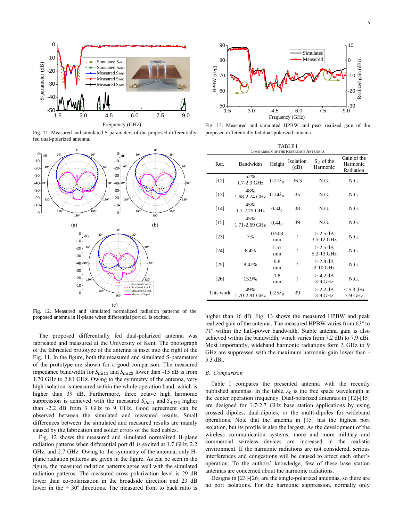

Fig. 11. Measured and simulated S-parameters of the proposed differentially fed dual-polarized antenna.



Fig. 12. Measured and simulated normalized radiation patterns of the proposed antenna in H-plane when differential port d1 is excited.

The proposed differentially fed dual-polarized antenna was fabricated and measured at the University of Kent. The photograph of the fabricated prototype of the antenna is inset into the right of the Fig. 11. In the figure, both the measured and simulated S-parameters of the prototype are shown for a good comparison. The measured impedance bandwidth for  $S_{dd11}$  and  $S_{dd22}$  lower than -15 dB is from 1.70 GHz to 2.81 GHz. Owing to the symmetry of the antenna, very high isolation is measured within the whole operation band, which is higher than 39 dB. Furthermore, three octave high harmonic suppression is achieved with the measured  $S_{dd11}$  and  $S_{dd22}$  higher than -2.2 dB from 3 GHz to 9 GHz. Good agreement can be observed between the simulated and measured results. Small differences between the simulated and measured results are mainly caused by the fabrication and solder errors of the feed cables.

Fig. 12 shows the measured and simulated normalized H-plane radiation patterns when differential port d1 is excited at 1.7 GHz, 2.2 GHz, and 2.7 GHz. Owing to the symmetry of the antenna, only Hplane radiation patterns are given in the figure. As can be seen in the figure, the measured radiation patterns agree well with the simulated radiation patterns. The measured cross-polarization level is 29 dB lower than co-polarization in the broadside direction and 23 dB lower in the  $\pm 30^{\circ}$  directions. The measured front to back ratio is



Fig. 13. Measured and simulated HPBW and peak realized gain of the proposed differentially fed dual-polarized antenna.

| <b>TABLE I</b><br><b>COMPARISON OF THE REFERENCE ANTENNAS</b> |                         |                 |                   |                             |                                      |
|---------------------------------------------------------------|-------------------------|-----------------|-------------------|-----------------------------|--------------------------------------|
| Ref.                                                          | Bandwidth               | Height          | Isolation<br>(dB) | $S_{11}$ of the<br>Harmonic | Gain of the<br>Harmonic<br>Radiation |
| $[12]$                                                        | 52%<br>1.7-2.9 GHz      | $0.27\lambda_0$ | 36.3              | N.G.                        | N.G.                                 |
| $[13]$                                                        | 48%<br>1.68-2.74 GHz    | $0.24\lambda_0$ | 35                | N.G.                        | N.G.                                 |
| [14]                                                          | 45%<br>$1.7 - 2.75$ GHz | $0.3\lambda_0$  | 38                | N.G.                        | N.G.                                 |
| $[15]$                                                        | 45%<br>1.71-2.69 GHz    | $0.4\lambda_0$  | 39                | N.G.                        | N.G.                                 |
| [23]                                                          | 7%                      | 0.508<br>mm     |                   | $>2.5$ dB<br>3.5-12 GHz     | N.G.                                 |
| [24]                                                          | 8.4%                    | 1.57<br>mm      |                   | $>2.5$ dB<br>5.2-13 GHz     | N.G.                                 |
| [25]                                                          | 8.42%                   | 0.8<br>mm       |                   | $>2.8$ dB<br>3-10 GHz       | N.G.                                 |
| $[26]$                                                        | 13.9%                   | 1.8<br>mm       |                   | $>$ -4.2 dB<br>$3-9$ GHz    | N.G.                                 |
| This work                                                     | 49%<br>1.70-2.81 GHz    | $0.25\lambda_0$ | 39                | $>-2.2$ dB<br>$3-9$ GHz     | $<$ -5.3 dBi<br>$3-9$ GHz            |

higher than 16 dB. Fig. 13 shows the measured HPBW and peak realized gain of the antenna. The measured HPBW varies from 63º to 71º within the half-power bandwidth. Stable antenna gain is also achieved within the bandwidth, which varies from 7.2 dBi to 7.9 dBi. Most importantly, wideband harmonic radiations form 3 GHz to 9 GHz are suppressed with the maximum harmonic gain lower than - 5.3 dBi.

#### *B. Comparison*

Table I compares the presented antenna with the recently published antennas. In the table,  $\lambda_0$  is the free space wavelength at the center operation frequency. Dual-polarized antennas in [12]-[15] are designed for 1.7-2.7 GHz base station applications by using crossed dipoles, dual-dipoles, or the multi-dipoles for wideband operations. Note that the antenna in [15] has the highest port isolation, but its profile is also the largest. As the development of the wireless communication systems, more and more military and commercial wireless devices are increased in the realistic environment. If the harmonic radiations are not considered, serious interferences and congestions will be caused to affect each other's operation. To the authors' knowledge, few of these base station antennas are concerned about the harmonic radiations.

Designs in [23]-[26] are the single-polarized antennas, so there are no port isolations. For the harmonic suppression, normally only